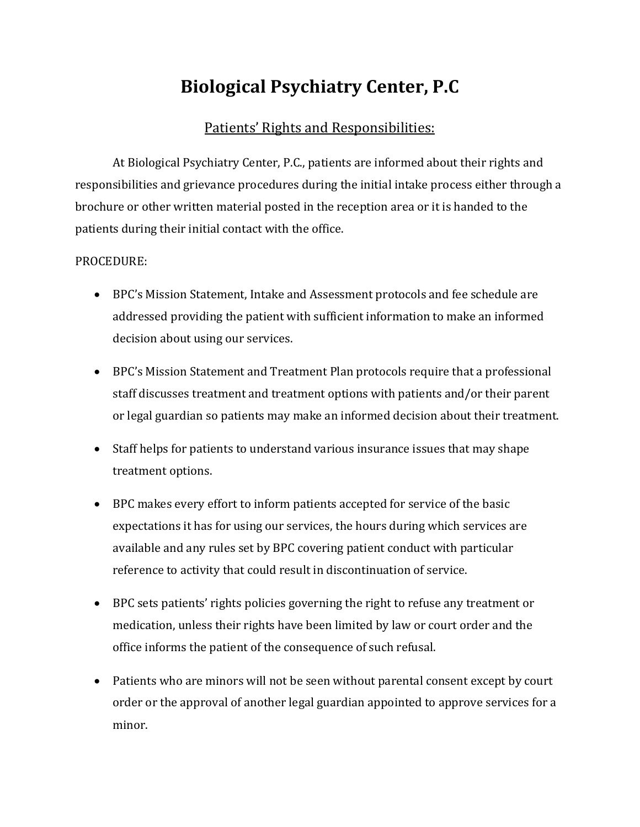## **Biological Psychiatry Center, P.C**

## Patients' Rights and Responsibilities:

At Biological Psychiatry Center, P.C., patients are informed about their rights and responsibilities and grievance procedures during the initial intake process either through a brochure or other written material posted in the reception area or it is handed to the patients during their initial contact with the office.

## PROCEDURE:

- BPC's Mission Statement, Intake and Assessment protocols and fee schedule are addressed providing the patient with sufficient information to make an informed decision about using our services.
- BPC's Mission Statement and Treatment Plan protocols require that a professional staff discusses treatment and treatment options with patients and/or their parent or legal guardian so patients may make an informed decision about their treatment.
- Staff helps for patients to understand various insurance issues that may shape treatment options.
- BPC makes every effort to inform patients accepted for service of the basic expectations it has for using our services, the hours during which services are available and any rules set by BPC covering patient conduct with particular reference to activity that could result in discontinuation of service.
- BPC sets patients' rights policies governing the right to refuse any treatment or medication, unless their rights have been limited by law or court order and the office informs the patient of the consequence of such refusal.
- Patients who are minors will not be seen without parental consent except by court order or the approval of another legal guardian appointed to approve services for a minor.